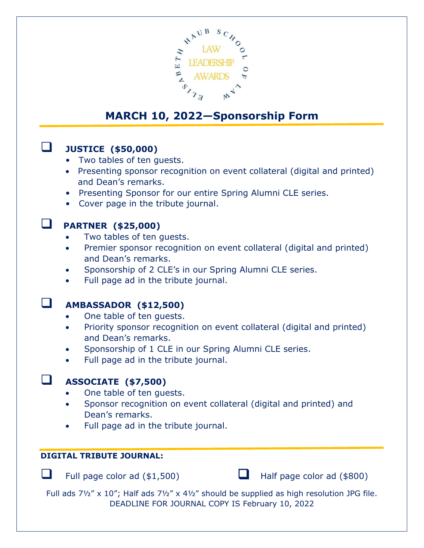

## **MARCH 10, 2022—Sponsorship Form**

# **JUSTICE (\$50,000)**

- Two tables of ten guests.
- Presenting sponsor recognition on event collateral (digital and printed) and Dean's remarks.
- Presenting Sponsor for our entire Spring Alumni CLE series.
- Cover page in the tribute journal.

# **PARTNER (\$25,000)**

- Two tables of ten guests.
- Premier sponsor recognition on event collateral (digital and printed) and Dean's remarks.
- Sponsorship of 2 CLE's in our Spring Alumni CLE series.
- Full page ad in the tribute journal.

### **AMBASSADOR (\$12,500)**

- One table of ten guests.
- Priority sponsor recognition on event collateral (digital and printed) and Dean's remarks.
- Sponsorship of 1 CLE in our Spring Alumni CLE series.
- Full page ad in the tribute journal.

# **ASSOCIATE (\$7,500)**

- One table of ten quests.
- Sponsor recognition on event collateral (digital and printed) and Dean's remarks.
- Full page ad in the tribute journal.

#### **DIGITAL TRIBUTE JOURNAL:**

Full page color ad (\$1,500)Half page color ad (\$800)



Full ads 7½" x 10"; Half ads 7½" x 4½" should be supplied as high resolution JPG file. DEADLINE FOR JOURNAL COPY IS February 10, 2022